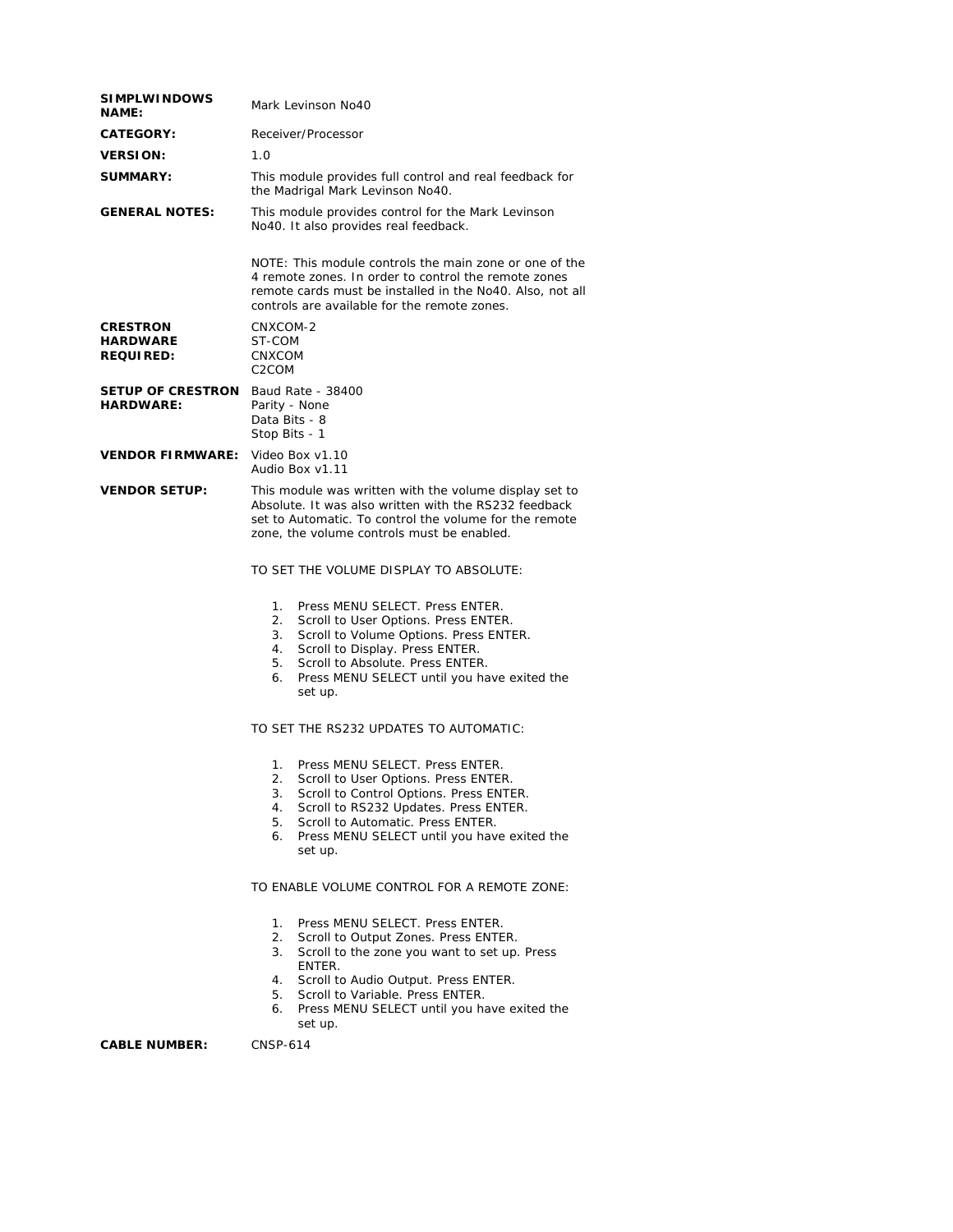| <b>SIMPLWINDOWS</b><br><b>NAME:</b>                            | Mark Levinson No40                                                                                                                                                                                                                                                                                                    |  |  |
|----------------------------------------------------------------|-----------------------------------------------------------------------------------------------------------------------------------------------------------------------------------------------------------------------------------------------------------------------------------------------------------------------|--|--|
| <b>CATEGORY:</b>                                               | Receiver/Processor                                                                                                                                                                                                                                                                                                    |  |  |
| <b>VERSION:</b>                                                | 1.0                                                                                                                                                                                                                                                                                                                   |  |  |
| <b>SUMMARY:</b>                                                | This module provides full control and real feedback for<br>the Madrigal Mark Levinson No40.                                                                                                                                                                                                                           |  |  |
| <b>GENERAL NOTES:</b>                                          | This module provides control for the Mark Levinson<br>No40. It also provides real feedback.                                                                                                                                                                                                                           |  |  |
|                                                                | NOTE: This module controls the main zone or one of the<br>4 remote zones. In order to control the remote zones<br>remote cards must be installed in the No40. Also, not all<br>controls are available for the remote zones.                                                                                           |  |  |
| <b>CRESTRON</b><br>HARDWARE<br><b>REQUIRED:</b>                | CNXCOM-2<br>ST-COM<br><b>CNXCOM</b><br>C <sub>2</sub> COM                                                                                                                                                                                                                                                             |  |  |
| <b>SETUP OF CRESTRON</b> Baud Rate - 38400<br><b>HARDWARE:</b> | Parity - None<br>Data Bits - 8<br>Stop Bits - 1                                                                                                                                                                                                                                                                       |  |  |
| <b>VENDOR FIRMWARE:</b> Video Box v1.10                        | Audio Box v1.11                                                                                                                                                                                                                                                                                                       |  |  |
| <b>VENDOR SETUP:</b>                                           | This module was written with the volume display set to<br>Absolute. It was also written with the RS232 feedback<br>set to Automatic. To control the volume for the remote<br>zone, the volume controls must be enabled.                                                                                               |  |  |
|                                                                | TO SET THE VOLUME DISPLAY TO ABSOLUTE:                                                                                                                                                                                                                                                                                |  |  |
|                                                                | Press MENU SELECT. Press ENTER.<br>1.<br>Scroll to User Options. Press ENTER.<br>2.<br>Scroll to Volume Options. Press ENTER.<br>3.<br>Scroll to Display. Press ENTER.<br>4.<br>Scroll to Absolute. Press ENTER.<br>5.<br>Press MENU SELECT until you have exited the<br>6.<br>set up.                                |  |  |
|                                                                | TO SET THE RS232 UPDATES TO AUTOMATIC:                                                                                                                                                                                                                                                                                |  |  |
|                                                                | Press MENU SELECT. Press ENTER.<br>1.<br>2.<br>Scroll to User Options. Press ENTER.<br>3.<br>Scroll to Control Options. Press ENTER.<br>Scroll to RS232 Updates. Press ENTER.<br>4.<br>Scroll to Automatic. Press ENTER.<br>5.<br>Press MENU SELECT until you have exited the<br>6.<br>set up.                        |  |  |
|                                                                | TO ENABLE VOLUME CONTROL FOR A REMOTE ZONE:                                                                                                                                                                                                                                                                           |  |  |
|                                                                | Press MENU SELECT. Press ENTER.<br>$1_{\ldots}$<br>2.<br>Scroll to Output Zones. Press ENTER.<br>Scroll to the zone you want to set up. Press<br>3.<br>ENTER.<br>Scroll to Audio Output. Press ENTER.<br>4.<br>Scroll to Variable. Press ENTER.<br>5.<br>Press MENU SELECT until you have exited the<br>6.<br>set up. |  |  |
| <b>CABLE NUMBER:</b>                                           | CNSP-614                                                                                                                                                                                                                                                                                                              |  |  |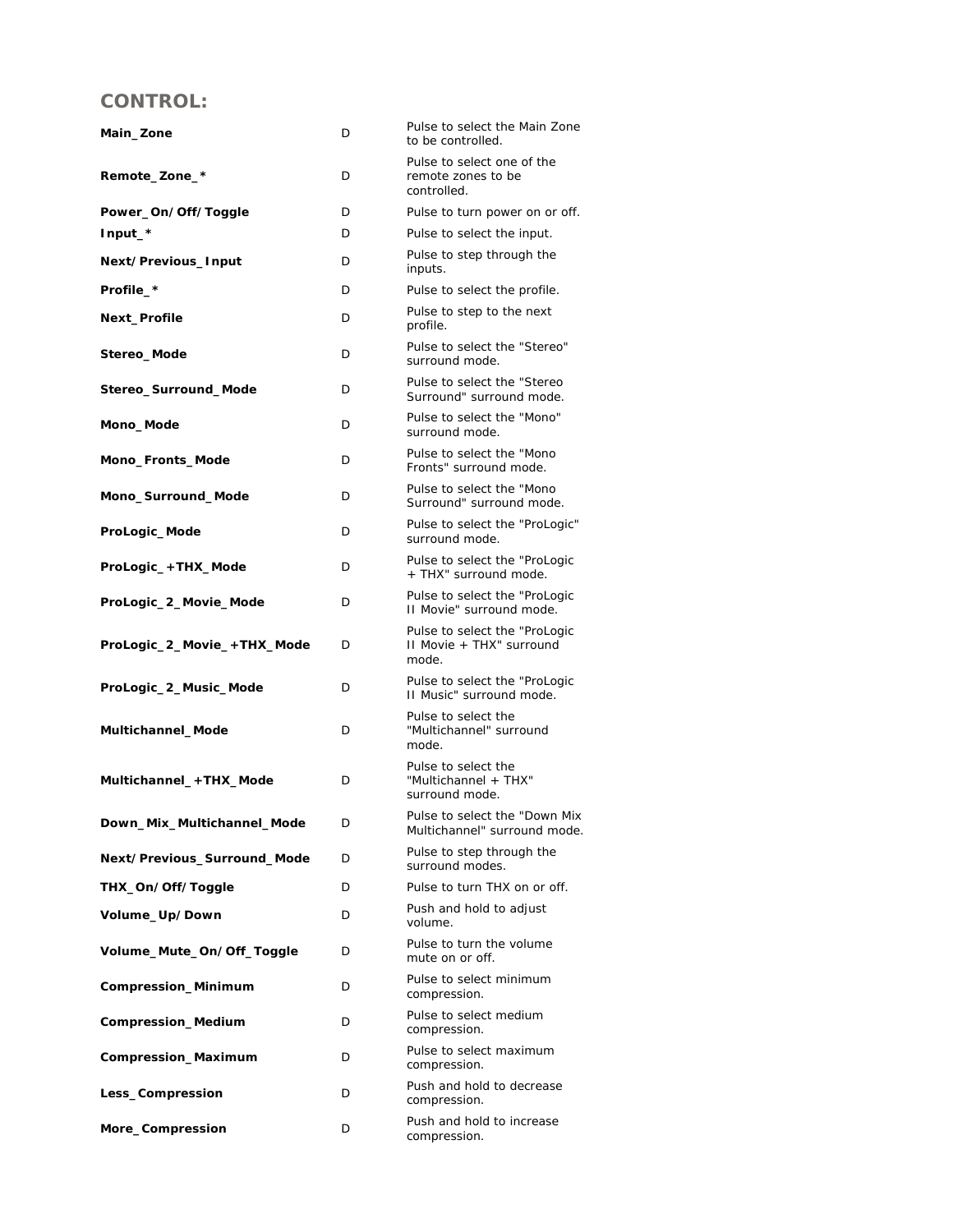## **CONTROL:**

| Main_Zone                   | D | Pulse to select the Main Zone<br>to be controlled.                 |
|-----------------------------|---|--------------------------------------------------------------------|
| Remote_Zone_*               | D | Pulse to select one of the<br>remote zones to be<br>controlled.    |
| Power_On/Off/Toggle         | D | Pulse to turn power on or off.                                     |
| $Input*$                    | D | Pulse to select the input.                                         |
| Next/Previous_Input         | D | Pulse to step through the<br>inputs.                               |
| Profile_*                   | D | Pulse to select the profile.                                       |
| <b>Next Profile</b>         | D | Pulse to step to the next<br>profile.                              |
| Stereo_Mode                 | D | Pulse to select the "Stereo"<br>surround mode.                     |
| Stereo_Surround_Mode        | D | Pulse to select the "Stereo"<br>Surround" surround mode.           |
| Mono_Mode                   | D | Pulse to select the "Mono"<br>surround mode.                       |
| Mono_Fronts_Mode            | D | Pulse to select the "Mono<br>Fronts" surround mode.                |
| Mono_Surround_Mode          | D | Pulse to select the "Mono<br>Surround" surround mode.              |
| ProLogic_Mode               | D | Pulse to select the "ProLogic"<br>surround mode.                   |
| ProLogic_+THX_Mode          | D | Pulse to select the "ProLogic<br>+ THX" surround mode.             |
| ProLogic_2_Movie_Mode       | D | Pulse to select the "ProLogic<br>II Movie" surround mode.          |
| ProLogic_2_Movie_+THX_Mode  | D | Pulse to select the "ProLogic<br>II Movie + THX" surround<br>mode. |
| ProLogic_2_Music_Mode       | D | Pulse to select the "ProLogic<br>II Music" surround mode.          |
| Multichannel_Mode           | D | Pulse to select the<br>"Multichannel" surround<br>mode.            |
| Multichannel_+THX_Mode      | D | Pulse to select the<br>"Multichannel + THX"<br>surround mode.      |
| Down_Mix_Multichannel_Mode  | D | Pulse to select the "Down Mix<br>Multichannel" surround mode.      |
| Next/Previous_Surround_Mode | D | Pulse to step through the<br>surround modes.                       |
| THX_On/Off/Toggle           | D | Pulse to turn THX on or off.                                       |
| Volume_Up/Down              | D | Push and hold to adjust<br>volume.                                 |
| Volume_Mute_On/Off_Toggle   | D | Pulse to turn the volume<br>mute on or off.                        |
| <b>Compression_Minimum</b>  | D | Pulse to select minimum<br>compression.                            |
| Compression_Medium          | D | Pulse to select medium<br>compression.                             |
| Compression_Maximum         | D | Pulse to select maximum<br>compression.                            |
| Less_Compression            | D | Push and hold to decrease<br>compression.                          |
| More_Compression            | D | Push and hold to increase<br>compression.                          |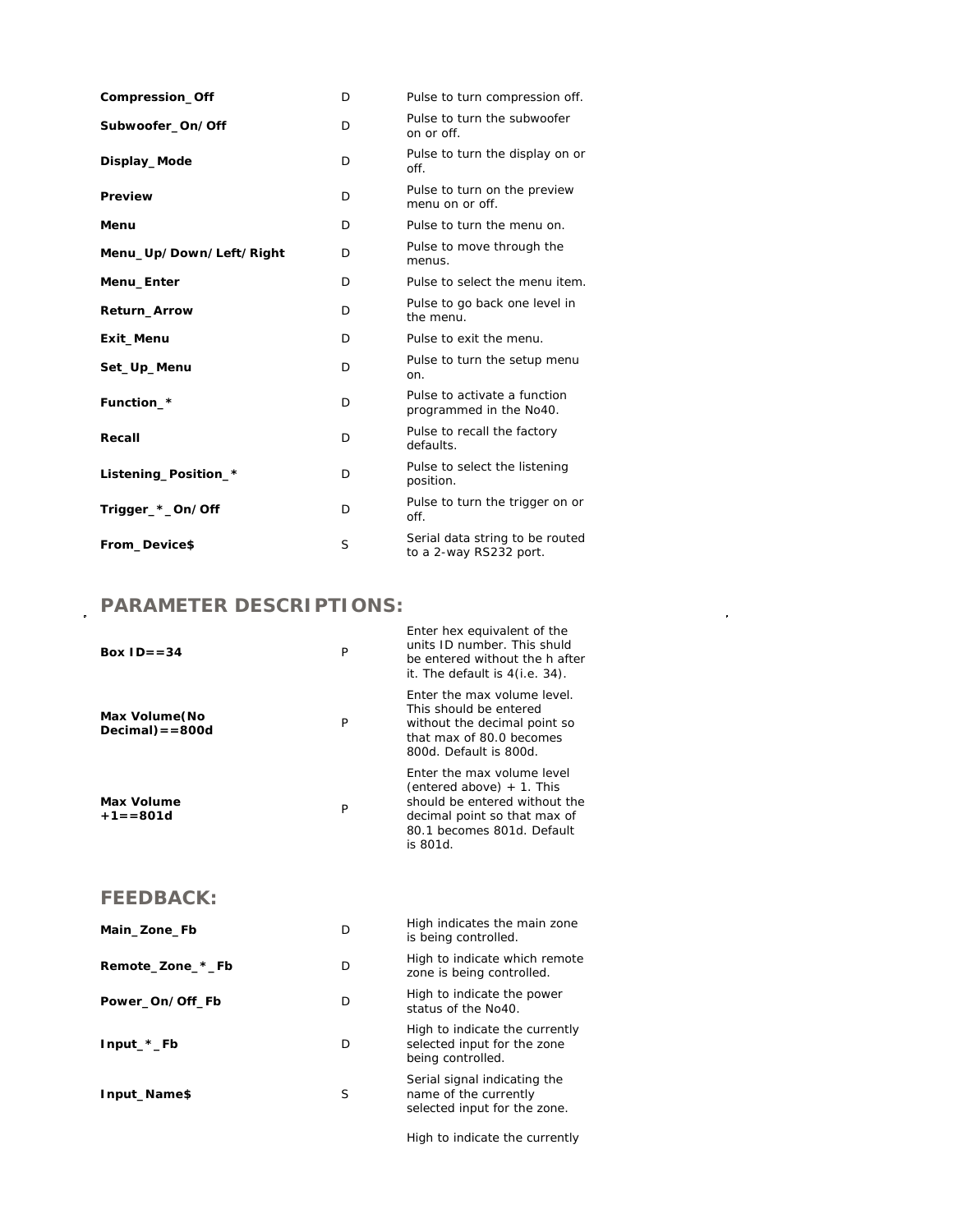| Compression_Off         | D | Pulse to turn compression off.                            |
|-------------------------|---|-----------------------------------------------------------|
| Subwoofer_On/Off        | D | Pulse to turn the subwoofer<br>on or off.                 |
| Display_Mode            | D | Pulse to turn the display on or<br>off.                   |
| <b>Preview</b>          | D | Pulse to turn on the preview<br>menu on or off.           |
| Menu                    | D | Pulse to turn the menu on.                                |
| Menu_Up/Down/Left/Right | D | Pulse to move through the<br>menus.                       |
| Menu_Enter              | D | Pulse to select the menu item.                            |
| <b>Return_Arrow</b>     | D | Pulse to go back one level in<br>the menu.                |
| Exit_Menu               | D | Pulse to exit the menu.                                   |
| Set_Up_Menu             | D | Pulse to turn the setup menu<br>on.                       |
| Function_*              | D | Pulse to activate a function<br>programmed in the No40.   |
| Recall                  | D | Pulse to recall the factory<br>defaults.                  |
| Listening_Position_*    | D | Pulse to select the listening<br>position.                |
| Trigger_*_On/Off        | D | Pulse to turn the trigger on or<br>off.                   |
| From Device\$           | S | Serial data string to be routed<br>to a 2-way RS232 port. |

## **PARAMETER DESCRIPTIONS:**

| Box $ID = 34$                       | P | Enter hex equivalent of the<br>units ID number. This shuld<br>be entered without the h after<br>it. The default is $4(i.e. 34)$ .                                    |
|-------------------------------------|---|----------------------------------------------------------------------------------------------------------------------------------------------------------------------|
| Max Volume (No<br>$Decimal) = 800d$ | P | Enter the max volume level.<br>This should be entered<br>without the decimal point so<br>that max of 80.0 becomes<br>800d. Default is 800d.                          |
| Max Volume<br>$+1 = 801d$           | P | Enter the max volume level<br>(entered above) $+$ 1. This<br>should be entered without the<br>decimal point so that max of<br>80.1 becomes 801d. Default<br>is 801d. |

## **FEEDBACK:**

| Main_Zone_Fb     | D | High indicates the main zone<br>is being controlled.                                  |
|------------------|---|---------------------------------------------------------------------------------------|
| Remote_Zone_*_Fb | D | High to indicate which remote<br>zone is being controlled.                            |
| Power_On/Off_Fb  | D | High to indicate the power<br>status of the No40.                                     |
| $Input_*$ Fb     | D | High to indicate the currently<br>selected input for the zone<br>being controlled.    |
| Input_Name\$     | S | Serial signal indicating the<br>name of the currently<br>selected input for the zone. |

High to indicate the currently

 $\mathcal{L}^{\text{max}}_{\text{max}}$  and  $\mathcal{L}^{\text{max}}_{\text{max}}$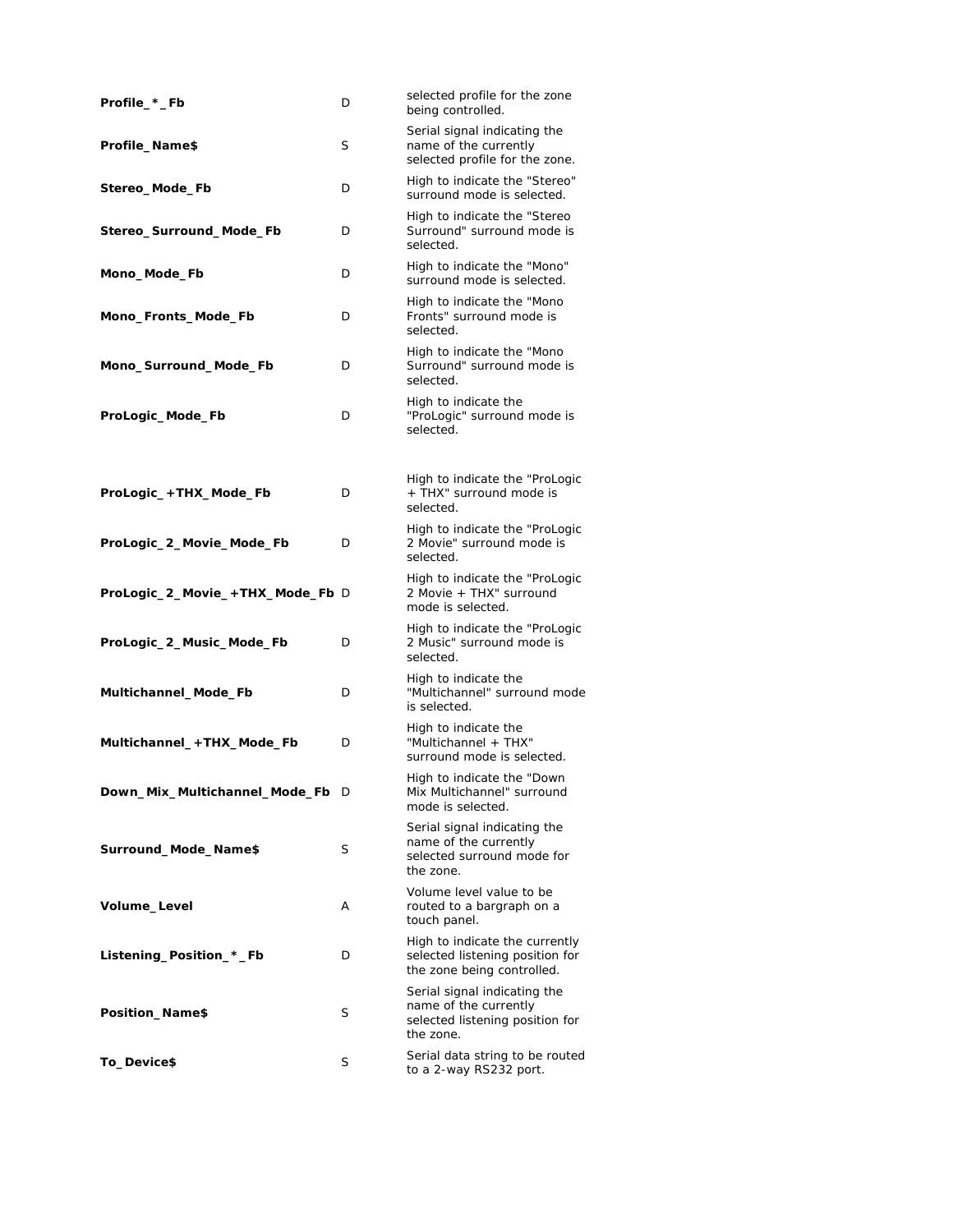| Profile_*_Fb                    | D | selected profile for the zone<br>being controlled.                                                    |
|---------------------------------|---|-------------------------------------------------------------------------------------------------------|
| Profile_Name\$                  | S | Serial signal indicating the<br>name of the currently<br>selected profile for the zone.               |
| Stereo_Mode_Fb                  | D | High to indicate the "Stereo"<br>surround mode is selected.                                           |
| Stereo_Surround_Mode_Fb         | D | High to indicate the "Stereo"<br>Surround" surround mode is<br>selected.                              |
| Mono_Mode_Fb                    | D | High to indicate the "Mono"<br>surround mode is selected.                                             |
| Mono_Fronts_Mode_Fb             | D | High to indicate the "Mono<br>Fronts" surround mode is<br>selected.                                   |
| Mono_Surround_Mode_Fb           | D | High to indicate the "Mono<br>Surround" surround mode is<br>selected.                                 |
| ProLogic_Mode_Fb                | D | High to indicate the<br>"ProLogic" surround mode is<br>selected.                                      |
| ProLogic_+THX_Mode_Fb           | D | High to indicate the "ProLogic<br>+ THX" surround mode is<br>selected.                                |
| ProLogic_2_Movie_Mode_Fb        | D | High to indicate the "ProLogic<br>2 Movie" surround mode is<br>selected.                              |
| ProLogic_2_Movie_+THX_Mode_Fb D |   | High to indicate the "ProLogic<br>2 Movie + THX" surround<br>mode is selected.                        |
| ProLogic_2_Music_Mode_Fb        | D | High to indicate the "ProLogic<br>2 Music" surround mode is<br>selected.                              |
| Multichannel_Mode_Fb            | D | High to indicate the<br>"Multichannel" surround mode<br>is selected.                                  |
| Multichannel_+THX_Mode_Fb       | D | High to indicate the<br>"Multichannel + THX"<br>surround mode is selected.                            |
| Down_Mix_Multichannel_Mode_Fb   |   | High to indicate the "Down<br>Mix Multichannel" surround<br>mode is selected.                         |
| Surround_Mode_Name\$            | S | Serial signal indicating the<br>name of the currently<br>selected surround mode for<br>the zone.      |
| Volume_Level                    | Α | Volume level value to be<br>routed to a bargraph on a<br>touch panel.                                 |
| Listening_Position_*_Fb         | D | High to indicate the currently<br>selected listening position for<br>the zone being controlled.       |
| Position_Name\$                 | S | Serial signal indicating the<br>name of the currently<br>selected listening position for<br>the zone. |
| To_Device\$                     | S | Serial data string to be routed<br>to a 2-way RS232 port.                                             |